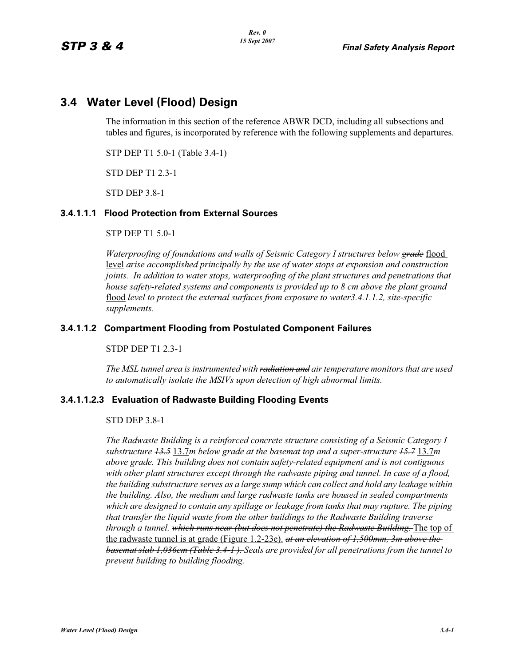# **3.4 Water Level (Flood) Design**

The information in this section of the reference ABWR DCD, including all subsections and tables and figures, is incorporated by reference with the following supplements and departures.

STP DEP T1 5.0-1 (Table 3.4-1)

STD DEP T1 2.3-1

STD DEP 3.8-1

#### **3.4.1.1.1 Flood Protection from External Sources**

STP DEP T1 5.0-1

*Waterproofing of foundations and walls of Seismic Category I structures below grade* flood level *arise accomplished principally by the use of water stops at expansion and construction joints. In addition to water stops, waterproofing of the plant structures and penetrations that house safety-related systems and components is provided up to 8 cm above the plant ground* flood *level to protect the external surfaces from exposure to water3.4.1.1.2, site-specific supplements.*

#### **3.4.1.1.2 Compartment Flooding from Postulated Component Failures**

STDP DEP T1 2.3-1

*The MSL tunnel area is instrumented with radiation and air temperature monitors that are used to automatically isolate the MSIVs upon detection of high abnormal limits.*

#### **3.4.1.1.2.3 Evaluation of Radwaste Building Flooding Events**

STD DEP 3.8-1

*The Radwaste Building is a reinforced concrete structure consisting of a Seismic Category I substructure 13.5* 13.7*m below grade at the basemat top and a super-structure 15.7* 13.7*m above grade. This building does not contain safety-related equipment and is not contiguous with other plant structures except through the radwaste piping and tunnel. In case of a flood, the building substructure serves as a large sump which can collect and hold any leakage within the building. Also, the medium and large radwaste tanks are housed in sealed compartments which are designed to contain any spillage or leakage from tanks that may rupture. The piping that transfer the liquid waste from the other buildings to the Radwaste Building traverse through a tunnel. which runs near (but does not penetrate) the Radwaste Building.* The top of the radwaste tunnel is at grade (Figure 1.2-23e). *at an elevation of 1,500mm, 3m above the basemat slab 1,036cm (Table 3.4-1 ). Seals are provided for all penetrations from the tunnel to prevent building to building flooding.*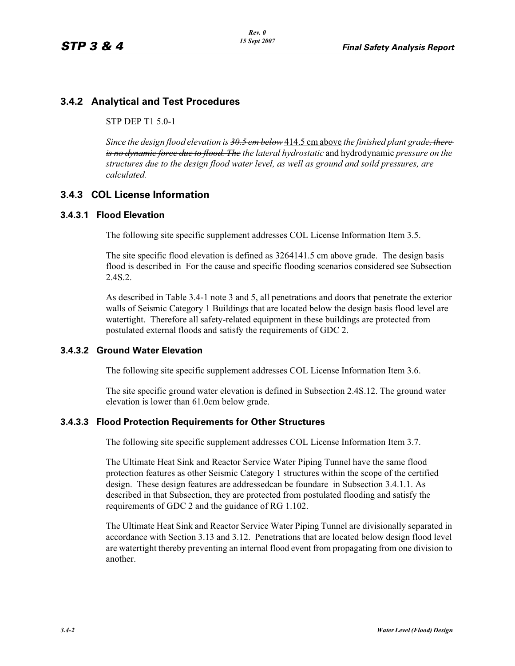# **3.4.2 Analytical and Test Procedures**

STP DEP T1 5.0-1

*Since the design flood elevation is 30.5 cm below* 414.5 cm above *the finished plant grade, there is no dynamic force due to flood. The the lateral hydrostatic* and hydrodynamic *pressure on the structures due to the design flood water level, as well as ground and soild pressures, are calculated.*

## **3.4.3 COL License Information**

#### **3.4.3.1 Flood Elevation**

The following site specific supplement addresses COL License Information Item 3.5.

The site specific flood elevation is defined as 3264141.5 cm above grade. The design basis flood is described in For the cause and specific flooding scenarios considered see Subsection 2.4S.2.

As described in Table 3.4-1 note 3 and 5, all penetrations and doors that penetrate the exterior walls of Seismic Category 1 Buildings that are located below the design basis flood level are watertight. Therefore all safety-related equipment in these buildings are protected from postulated external floods and satisfy the requirements of GDC 2.

### **3.4.3.2 Ground Water Elevation**

The following site specific supplement addresses COL License Information Item 3.6.

The site specific ground water elevation is defined in Subsection 2.4S.12. The ground water elevation is lower than 61.0cm below grade.

#### **3.4.3.3 Flood Protection Requirements for Other Structures**

The following site specific supplement addresses COL License Information Item 3.7.

The Ultimate Heat Sink and Reactor Service Water Piping Tunnel have the same flood protection features as other Seismic Category 1 structures within the scope of the certified design. These design features are addressedcan be foundare in Subsection 3.4.1.1. As described in that Subsection, they are protected from postulated flooding and satisfy the requirements of GDC 2 and the guidance of RG 1.102.

The Ultimate Heat Sink and Reactor Service Water Piping Tunnel are divisionally separated in accordance with Section 3.13 and 3.12. Penetrations that are located below design flood level are watertight thereby preventing an internal flood event from propagating from one division to another.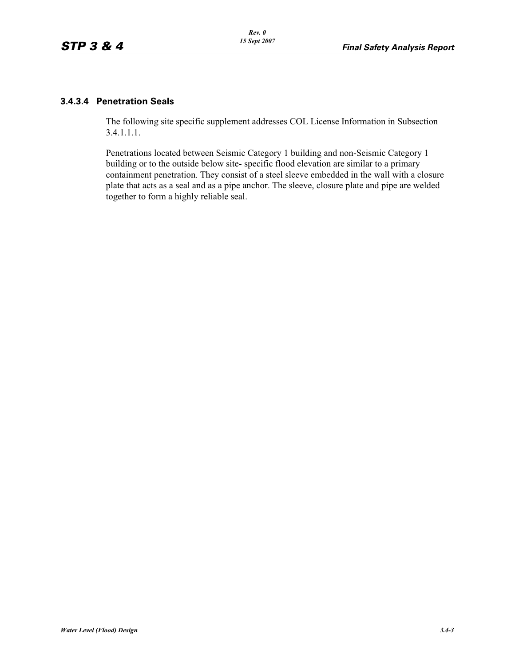#### **3.4.3.4 Penetration Seals**

The following site specific supplement addresses COL License Information in Subsection 3.4.1.1.1.

Penetrations located between Seismic Category 1 building and non-Seismic Category 1 building or to the outside below site- specific flood elevation are similar to a primary containment penetration. They consist of a steel sleeve embedded in the wall with a closure plate that acts as a seal and as a pipe anchor. The sleeve, closure plate and pipe are welded together to form a highly reliable seal.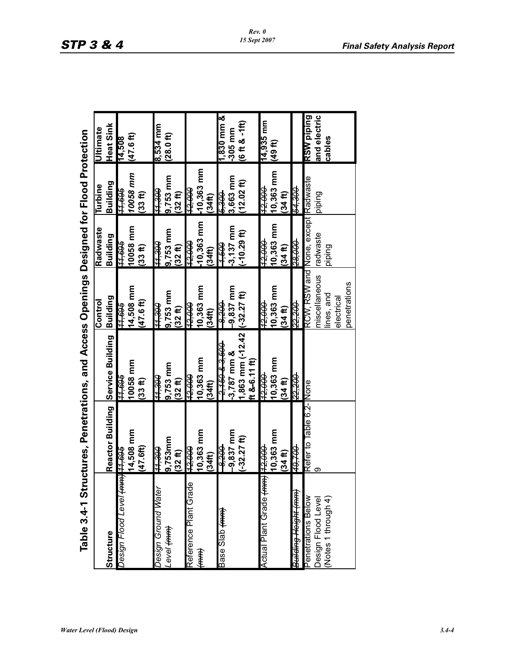| Table 3.4-1 Structures, Penetrations, and Access Openings Designed for Flood Protection |                         |                     |                     |                       |                    |                                   |
|-----------------------------------------------------------------------------------------|-------------------------|---------------------|---------------------|-----------------------|--------------------|-----------------------------------|
|                                                                                         |                         |                     | Control             | Radwaste              | Turbine            | <b>Jitimate</b>                   |
| Structure                                                                               | <b>Reactor Building</b> | Service Building    | Building            | Building              | Building           | Heat Sink                         |
| Design Flood Level <del>(mm) 11,695</del>                                               |                         | <del>909 rr</del>   | <del>909ʻrr</del>   | <del>909'//</del>     | <del>909 rr</del>  | 14,508                            |
|                                                                                         | 14,508 mm               | 10058 mm            | 14,508 mm           | 10058 mm              | 10058 mm           | $(47.6~{\rm ft})$                 |
|                                                                                         | (47.6f)                 | $(33 - t)$          | $(47.6~\text{ft})$  | (33ft)                | $(33 - H)$         |                                   |
| Design Ground Water                                                                     | <del>066 rr</del>       | <del>066 rr</del>   | <del>068'tt</del>   | <del>066'rr</del>     | 066'tt             | 8,534 mm                          |
| fenel <del>(uuu)</del>                                                                  | 9,753mm                 | 9,753 mm            | 9,753 mm            | 9,753 mm              | 9,753 mm           | (28.0ft)                          |
|                                                                                         | (32 ft)                 | (32 f)              | (32ft)              | (32 f)                | (32ft)             |                                   |
| Reference Plant Grade                                                                   | 12,000                  | <del>12,000</del>   | 12.OO               | 12.OOO                | <del>000'ZL</del>  |                                   |
| <del>(mm)</del>                                                                         | 10,363 mm               | 10,363 mm           | 10,363 mm           | 10,363 mm             | $-10,363$ mm       |                                   |
|                                                                                         | (34 <sup>th</sup> )     | (34 <sup>th</sup> ) | (34 <sup>th</sup> ) | (34 <sup>th</sup> )   | (34ft)             |                                   |
| Base Slab <del>(mm)</del>                                                               | <del>-92590</del>       | <del>00983900</del> | <del>002'8</del>    | <del>009 r</del>      | <del>- 006.9</del> | $1,830$ mm $\&$                   |
|                                                                                         | -9,837 mm               | $-3,787$ mm &       | 9,837 mm            | 3,137 mm              | 3,663 mm           | $-305$ mm                         |
|                                                                                         | $(-32.27$ ft)           | 1,863 mm (-12.42    | $(-32.27)$          | $-10.29$ ft)          | $12.02~{\rm fb}$   | $(6 \text{ ft} 8 - 1 \text{ ft})$ |
|                                                                                         |                         | ft &-6.11 ft)       |                     |                       |                    |                                   |
| <del>000'Zz  (uru)</del> ape ape penpy                                                  |                         | 42,000              | <del>12.000</del>   | 12.OO.                | <del>000'Zt</del>  | 14,935 mm                         |
|                                                                                         | 10,363 mm               | 10,363 mm           | 10,363 mm           | 10,363 mm             | 10,363 mm          | (49代)                             |
|                                                                                         | (34ft)                  | (34ft)              | (34, 1)             | (34, 11)              | (34ft)             |                                   |
| B <del>uilding Hoight (mm)</del>                                                        | <del>007.0r</del>       | 22,200              | <u>55.500</u>       | 28,000                | <del>008 rs</del>  |                                   |
| Penetrations Below                                                                      | Refer to Table 6.2-None |                     | RCW, RSW and        | None, except Radwaste |                    | RSW piping                        |
| Design Flood Level                                                                      | တ                       |                     | miscellaneous       | radwaste              | piping             | and electric                      |
| (Notes 1 through 4)                                                                     |                         |                     | lines, and          | piping                |                    | cables                            |
|                                                                                         |                         |                     | electrical          |                       |                    |                                   |
|                                                                                         |                         |                     | penetrations        |                       |                    |                                   |
|                                                                                         |                         |                     |                     |                       |                    |                                   |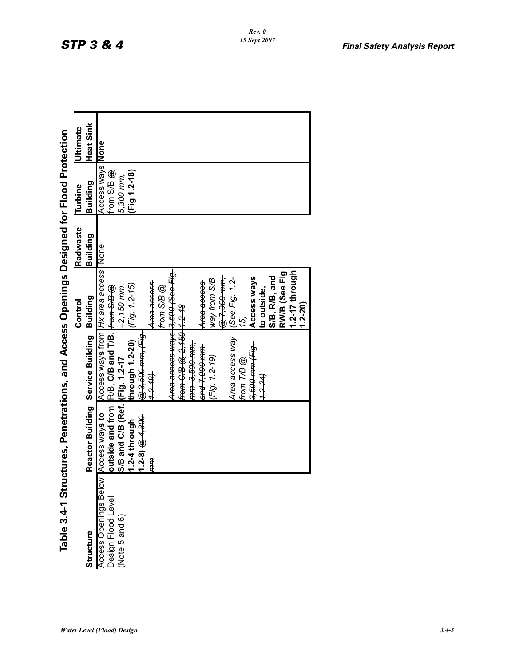| ĺ                  |
|--------------------|
|                    |
| ۱                  |
|                    |
| $\bf{C}$           |
| .<br>המממש ביצ     |
| $\vdots$<br>ļ      |
|                    |
| T <sub>ab</sub> le |

| Table 3.4-1 St                              |                                | uctures, Penetrations, and Access Openings Designed for Flood Protection |                         |          |                         |                  |
|---------------------------------------------|--------------------------------|--------------------------------------------------------------------------|-------------------------|----------|-------------------------|------------------|
|                                             |                                |                                                                          | Control                 | Radwaste | Turbine                 | <b>Ultimate</b>  |
| Structure                                   |                                | Reactor Building Service Building Building                               |                         | Building | Building                | <b>Heat Sink</b> |
| <b>Access Openings Below Access ways to</b> |                                | Access ways from H <del>X area access</del> None                         |                         |          | <b>Access ways None</b> |                  |
| Design Flood Level                          |                                | outside and from R/B, C/B and T/B. From S/B @                            |                         |          | irom S/B @              |                  |
| (Note 5 and 6)                              | S/B and C/B (Ref. (Fig. 1.2-17 |                                                                          | -2,150 mm,              |          | 5,300 тт,               |                  |
|                                             | 1.2-4 through                  |                                                                          |                         |          | Fig 1.2-18)             |                  |
|                                             | $(1.2-8) \bigoplus 4,800$      | @ 3,500 mm, (Fig.                                                        |                         |          |                         |                  |
|                                             | mm                             | $1.2 - 18$                                                               | Area access             |          |                         |                  |
|                                             |                                |                                                                          | from S/B @              |          |                         |                  |
|                                             |                                | Area access ways 3,500 (See Fig.                                         |                         |          |                         |                  |
|                                             |                                | from C/B @ 2,150 1.2-18                                                  |                         |          |                         |                  |
|                                             |                                | <del>mm, 3,500 mm,</del>                                                 |                         |          |                         |                  |
|                                             |                                | <del>and 7,900 mm</del>                                                  | Area access             |          |                         |                  |
|                                             |                                | Fig. 1.2.19)                                                             | <del>8/Surent Aem</del> |          |                         |                  |
|                                             |                                |                                                                          | @ 7,900 mm,             |          |                         |                  |
|                                             |                                | Area access way                                                          | See Fig. 1.2            |          |                         |                  |
|                                             |                                | from T/B @                                                               | $\frac{4}{5}$           |          |                         |                  |
|                                             |                                | <del>3,500 mm (Fig.</del>                                                | Access ways             |          |                         |                  |
|                                             |                                | $7.2 - 24$                                                               | to outside,             |          |                         |                  |
|                                             |                                |                                                                          | S/B, R/B, and           |          |                         |                  |
|                                             |                                |                                                                          | RW/B (See Fig           |          |                         |                  |
|                                             |                                |                                                                          | 1.2-17 through          |          |                         |                  |
|                                             |                                |                                                                          | $(0.2 - 2.0)$           |          |                         |                  |